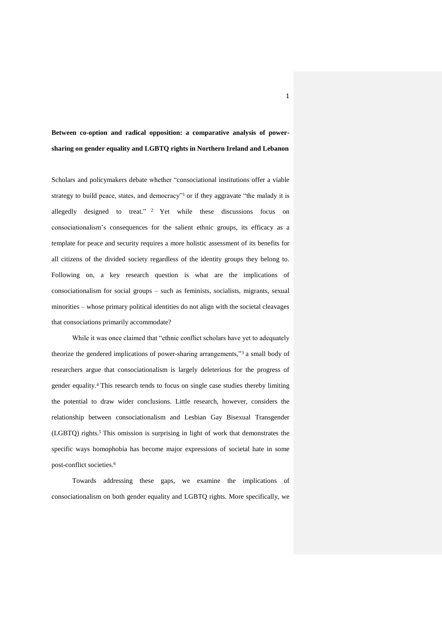# **Between co-option and radical opposition: a comparative analysis of powersharing on gender equality and LGBTQ rights in Northern Ireland and Lebanon**

Scholars and policymakers debate whether "consociational institutions offer a viable strategy to build peace, states, and democracy"<sup>1</sup> or if they aggravate "the malady it is allegedly designed to treat." <sup>2</sup> Yet while these discussions focus on consociationalism's consequences for the salient ethnic groups, its efficacy as a template for peace and security requires a more holistic assessment of its benefits for all citizens of the divided society regardless of the identity groups they belong to. Following on, a key research question is what are the implications of consociationalism for social groups – such as feminists, socialists, migrants, sexual minorities – whose primary political identities do not align with the societal cleavages that consociations primarily accommodate?

While it was once claimed that "ethnic conflict scholars have yet to adequately theorize the gendered implications of power-sharing arrangements,"<sup>3</sup> a small body of researchers argue that consociationalism is largely deleterious for the progress of gender equality.<sup>4</sup> This research tends to focus on single case studies thereby limiting the potential to draw wider conclusions. Little research, however, considers the relationship between consociationalism and Lesbian Gay Bisexual Transgender (LGBTQ) rights.<sup>5</sup> This omission is surprising in light of work that demonstrates the specific ways homophobia has become major expressions of societal hate in some post-conflict societies.<sup>6</sup>

Towards addressing these gaps, we examine the implications of consociationalism on both gender equality and LGBTQ rights. More specifically, we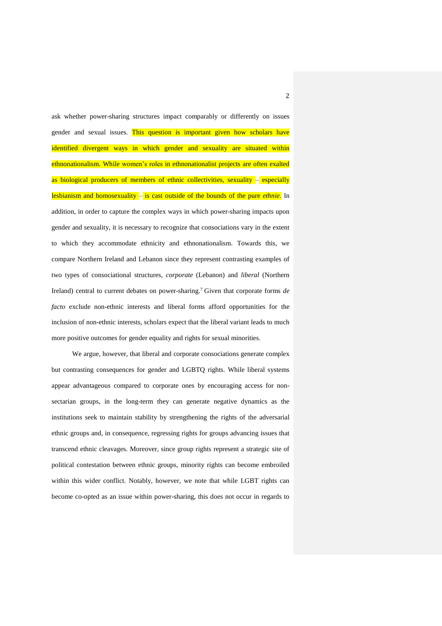ask whether power-sharing structures impact comparably or differently on issues gender and sexual issues. This question is important given how scholars have identified divergent ways in which gender and sexuality are situated within ethnonationalism. While women's roles in ethnonationalist projects are often exalted as biological producers of members of ethnic collectivities, sexuality – especially lesbianism and homosexuality – is cast outside of the bounds of the pure *ethnie*. In addition, in order to capture the complex ways in which power-sharing impacts upon gender and sexuality, it is necessary to recognize that consociations vary in the extent to which they accommodate ethnicity and ethnonationalism. Towards this, we compare Northern Ireland and Lebanon since they represent contrasting examples of two types of consociational structures, *corporate* (Lebanon) and *liberal* (Northern Ireland) central to current debates on power-sharing.<sup>7</sup> Given that corporate forms *de facto* exclude non-ethnic interests and liberal forms afford opportunities for the inclusion of non-ethnic interests, scholars expect that the liberal variant leads to much more positive outcomes for gender equality and rights for sexual minorities.

We argue, however, that liberal and corporate consociations generate complex but contrasting consequences for gender and LGBTQ rights. While liberal systems appear advantageous compared to corporate ones by encouraging access for nonsectarian groups, in the long-term they can generate negative dynamics as the institutions seek to maintain stability by strengthening the rights of the adversarial ethnic groups and, in consequence, regressing rights for groups advancing issues that transcend ethnic cleavages. Moreover, since group rights represent a strategic site of political contestation between ethnic groups, minority rights can become embroiled within this wider conflict. Notably, however, we note that while LGBT rights can become co-opted as an issue within power-sharing, this does not occur in regards to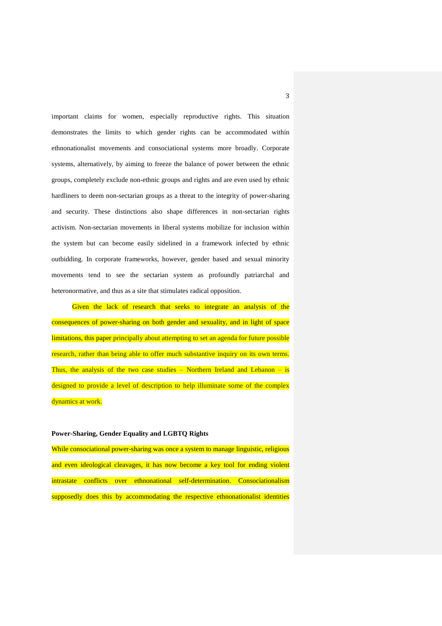important claims for women, especially reproductive rights. This situation demonstrates the limits to which gender rights can be accommodated within ethnonationalist movements and consociational systems more broadly. Corporate systems, alternatively, by aiming to freeze the balance of power between the ethnic groups, completely exclude non-ethnic groups and rights and are even used by ethnic hardliners to deem non-sectarian groups as a threat to the integrity of power-sharing and security. These distinctions also shape differences in non-sectarian rights activism. Non-sectarian movements in liberal systems mobilize for inclusion within the system but can become easily sidelined in a framework infected by ethnic outbidding. In corporate frameworks, however, gender based and sexual minority movements tend to see the sectarian system as profoundly patriarchal and heteronormative, and thus as a site that stimulates radical opposition.

Given the lack of research that seeks to integrate an analysis of the consequences of power-sharing on both gender and sexuality, and in light of space limitations, this paper principally about attempting to set an agenda for future possible research, rather than being able to offer much substantive inquiry on its own terms. Thus, the analysis of the two case studies  $-$  Northern Ireland and Lebanon  $-$  is designed to provide a level of description to help illuminate some of the complex dynamics at work.

# **Power-Sharing, Gender Equality and LGBTQ Rights**

While consociational power-sharing was once a system to manage linguistic, religious and even ideological cleavages, it has now become a key tool for ending violent intrastate conflicts over ethnonational self-determination. Consociationalism supposedly does this by accommodating the respective ethnonationalist identities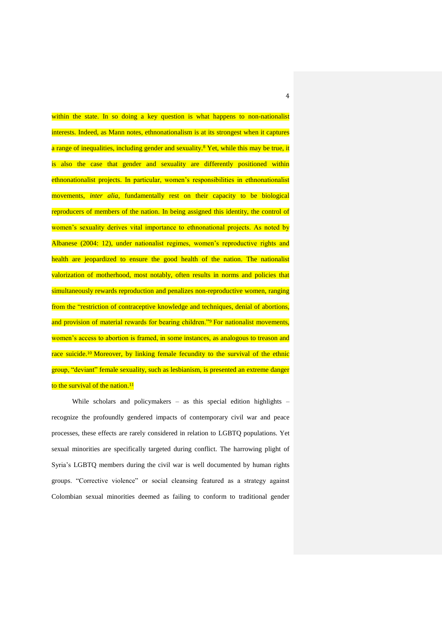within the state. In so doing a key question is what happens to non-nationalist interests. Indeed, as Mann notes, ethnonationalism is at its strongest when it captures a range of inequalities, including gender and sexuality.<sup>8</sup> Yet, while this may be true, it is also the case that gender and sexuality are differently positioned within ethnonationalist projects. In particular, women's responsibilities in ethnonationalist movements, *inter alia*, fundamentally rest on their capacity to be biological reproducers of members of the nation. In being assigned this identity, the control of women's sexuality derives vital importance to ethnonational projects. As noted by Albanese (2004: 12), under nationalist regimes, women's reproductive rights and health are jeopardized to ensure the good health of the nation. The nationalist valorization of motherhood, most notably, often results in norms and policies that simultaneously rewards reproduction and penalizes non-reproductive women, ranging from the "restriction of contraceptive knowledge and techniques, denial of abortions, and provision of material rewards for bearing children."<sup>9</sup> For nationalist movements, women's access to abortion is framed, in some instances, as analogous to treason and race suicide.<sup>10</sup> Moreover, by linking female fecundity to the survival of the ethnic group, "deviant" female sexuality, such as lesbianism, is presented an extreme danger to the survival of the nation.<sup>11</sup>

While scholars and policymakers - as this special edition highlights recognize the profoundly gendered impacts of contemporary civil war and peace processes, these effects are rarely considered in relation to LGBTQ populations. Yet sexual minorities are specifically targeted during conflict. The harrowing plight of Syria's LGBTQ members during the civil war is well documented by human rights groups. "Corrective violence" or social cleansing featured as a strategy against Colombian sexual minorities deemed as failing to conform to traditional gender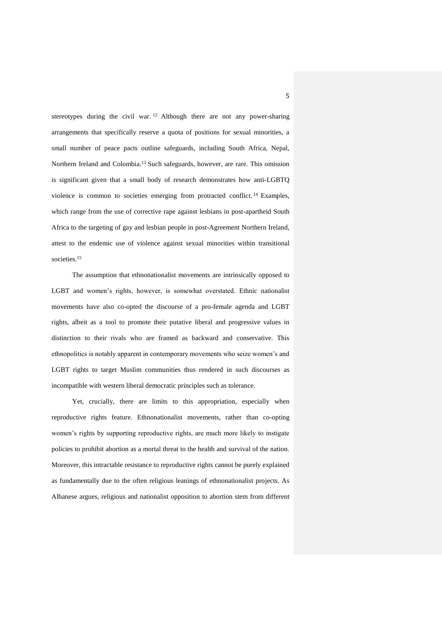stereotypes during the civil war. <sup>12</sup> Although there are not any power-sharing arrangements that specifically reserve a quota of positions for sexual minorities, a small number of peace pacts outline safeguards, including South Africa, Nepal, Northern Ireland and Colombia.<sup>13</sup> Such safeguards, however, are rare. This omission is significant given that a small body of research demonstrates how anti-LGBTQ violence is common to societies emerging from protracted conflict. <sup>14</sup> Examples, which range from the use of corrective rape against lesbians in post-apartheid South Africa to the targeting of gay and lesbian people in post-Agreement Northern Ireland, attest to the endemic use of violence against sexual minorities within transitional societies.<sup>15</sup>

The assumption that ethnonationalist movements are intrinsically opposed to LGBT and women's rights, however, is somewhat overstated. Ethnic nationalist movements have also co-opted the discourse of a pro-female agenda and LGBT rights, albeit as a tool to promote their putative liberal and progressive values in distinction to their rivals who are framed as backward and conservative. This ethnopolitics is notably apparent in contemporary movements who seize women's and LGBT rights to target Muslim communities thus rendered in such discourses as incompatible with western liberal democratic principles such as tolerance.

Yet, crucially, there are limits to this appropriation, especially when reproductive rights feature. Ethnonationalist movements, rather than co-opting women's rights by supporting reproductive rights, are much more likely to instigate policies to prohibit abortion as a mortal threat to the health and survival of the nation. Moreover, this intractable resistance to reproductive rights cannot be purely explained as fundamentally due to the often religious leanings of ethnonationalist projects. As Albanese argues, religious and nationalist opposition to abortion stem from different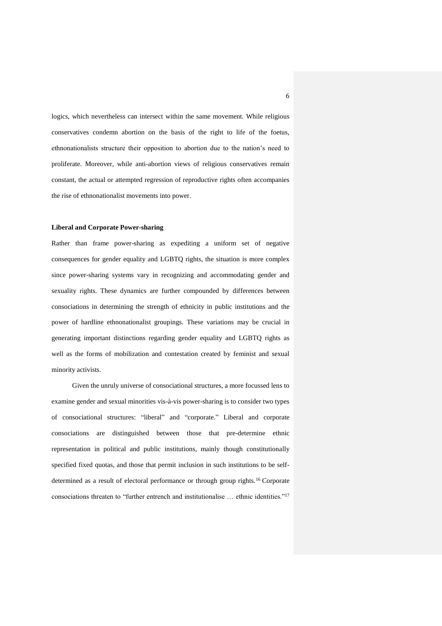logics, which nevertheless can intersect within the same movement. While religious conservatives condemn abortion on the basis of the right to life of the foetus, ethnonationalists structure their opposition to abortion due to the nation's need to proliferate. Moreover, while anti-abortion views of religious conservatives remain constant, the actual or attempted regression of reproductive rights often accompanies the rise of ethnonationalist movements into power.

#### **Liberal and Corporate Power-sharing**

Rather than frame power-sharing as expediting a uniform set of negative consequences for gender equality and LGBTQ rights, the situation is more complex since power-sharing systems vary in recognizing and accommodating gender and sexuality rights. These dynamics are further compounded by differences between consociations in determining the strength of ethnicity in public institutions and the power of hardline ethnonationalist groupings. These variations may be crucial in generating important distinctions regarding gender equality and LGBTQ rights as well as the forms of mobilization and contestation created by feminist and sexual minority activists.

Given the unruly universe of consociational structures, a more focussed lens to examine gender and sexual minorities vis-à-vis power-sharing is to consider two types of consociational structures: "liberal" and "corporate." Liberal and corporate consociations are distinguished between those that pre-determine ethnic representation in political and public institutions, mainly though constitutionally specified fixed quotas, and those that permit inclusion in such institutions to be selfdetermined as a result of electoral performance or through group rights.<sup>16</sup> Corporate consociations threaten to "further entrench and institutionalise … ethnic identities."17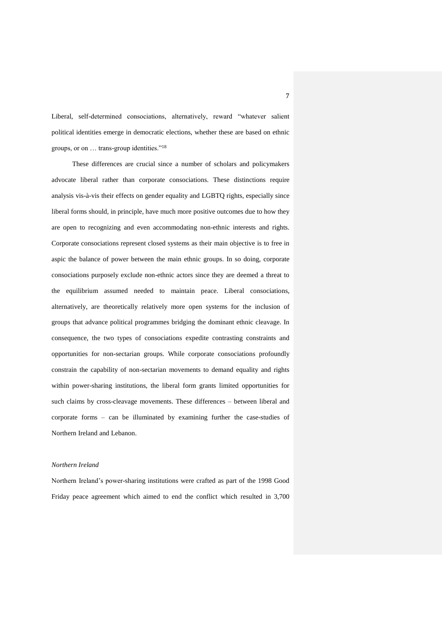Liberal, self-determined consociations, alternatively, reward "whatever salient political identities emerge in democratic elections, whether these are based on ethnic groups, or on … trans-group identities."<sup>18</sup>

These differences are crucial since a number of scholars and policymakers advocate liberal rather than corporate consociations. These distinctions require analysis vis-à-vis their effects on gender equality and LGBTQ rights, especially since liberal forms should, in principle, have much more positive outcomes due to how they are open to recognizing and even accommodating non-ethnic interests and rights. Corporate consociations represent closed systems as their main objective is to free in aspic the balance of power between the main ethnic groups. In so doing, corporate consociations purposely exclude non-ethnic actors since they are deemed a threat to the equilibrium assumed needed to maintain peace. Liberal consociations, alternatively, are theoretically relatively more open systems for the inclusion of groups that advance political programmes bridging the dominant ethnic cleavage. In consequence, the two types of consociations expedite contrasting constraints and opportunities for non-sectarian groups. While corporate consociations profoundly constrain the capability of non-sectarian movements to demand equality and rights within power-sharing institutions, the liberal form grants limited opportunities for such claims by cross-cleavage movements. These differences – between liberal and corporate forms – can be illuminated by examining further the case-studies of Northern Ireland and Lebanon.

#### *Northern Ireland*

Northern Ireland's power-sharing institutions were crafted as part of the 1998 Good Friday peace agreement which aimed to end the conflict which resulted in 3,700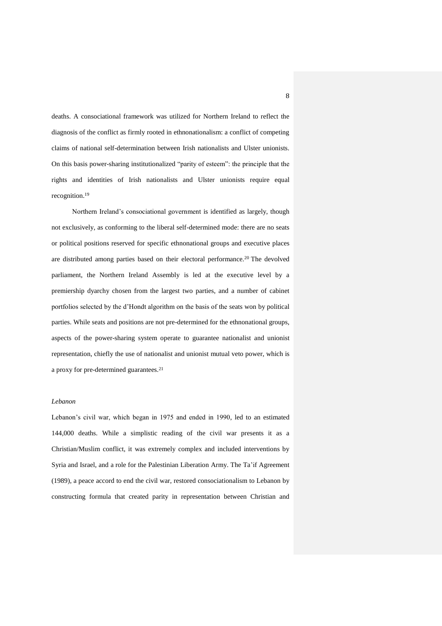deaths. A consociational framework was utilized for Northern Ireland to reflect the diagnosis of the conflict as firmly rooted in ethnonationalism: a conflict of competing claims of national self-determination between Irish nationalists and Ulster unionists. On this basis power-sharing institutionalized "parity of esteem": the principle that the rights and identities of Irish nationalists and Ulster unionists require equal recognition. 19

Northern Ireland's consociational government is identified as largely, though not exclusively, as conforming to the liberal self-determined mode: there are no seats or political positions reserved for specific ethnonational groups and executive places are distributed among parties based on their electoral performance.<sup>20</sup> The devolved parliament, the Northern Ireland Assembly is led at the executive level by a premiership dyarchy chosen from the largest two parties, and a number of cabinet portfolios selected by the d'Hondt algorithm on the basis of the seats won by political parties. While seats and positions are not pre-determined for the ethnonational groups, aspects of the power-sharing system operate to guarantee nationalist and unionist representation, chiefly the use of nationalist and unionist mutual veto power, which is a proxy for pre-determined guarantees.<sup>21</sup>

# *Lebanon*

Lebanon's civil war, which began in 1975 and ended in 1990, led to an estimated 144,000 deaths. While a simplistic reading of the civil war presents it as a Christian/Muslim conflict, it was extremely complex and included interventions by Syria and Israel, and a role for the Palestinian Liberation Army. The Ta'if Agreement (1989), a peace accord to end the civil war, restored consociationalism to Lebanon by constructing formula that created parity in representation between Christian and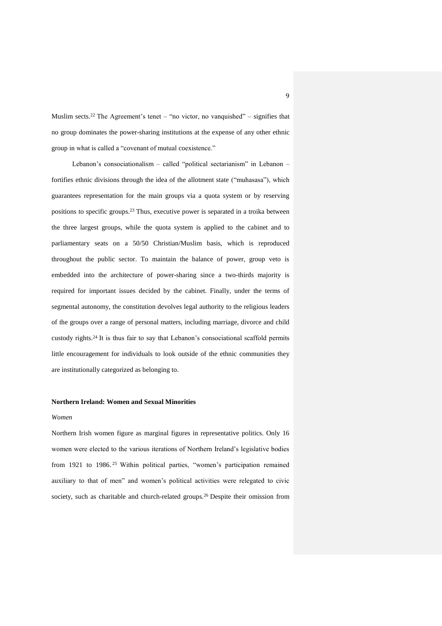Muslim sects.<sup>22</sup> The Agreement's tenet – "no victor, no vanquished" – signifies that no group dominates the power-sharing institutions at the expense of any other ethnic group in what is called a "covenant of mutual coexistence."

Lebanon's consociationalism – called "political sectarianism" in Lebanon – fortifies ethnic divisions through the idea of the allotment state ("muhasasa"), which guarantees representation for the main groups via a quota system or by reserving positions to specific groups.<sup>23</sup> Thus, executive power is separated in a troika between the three largest groups, while the quota system is applied to the cabinet and to parliamentary seats on a 50/50 Christian/Muslim basis, which is reproduced throughout the public sector. To maintain the balance of power, group veto is embedded into the architecture of power-sharing since a two-thirds majority is required for important issues decided by the cabinet. Finally, under the terms of segmental autonomy, the constitution devolves legal authority to the religious leaders of the groups over a range of personal matters, including marriage, divorce and child custody rights.<sup>24</sup> It is thus fair to say that Lebanon's consociational scaffold permits little encouragement for individuals to look outside of the ethnic communities they are institutionally categorized as belonging to.

# **Northern Ireland: Women and Sexual Minorities**

#### *Women*

Northern Irish women figure as marginal figures in representative politics. Only 16 women were elected to the various iterations of Northern Ireland's legislative bodies from 1921 to 1986.<sup>25</sup> Within political parties, "women's participation remained auxiliary to that of men" and women's political activities were relegated to civic society, such as charitable and church-related groups.<sup>26</sup> Despite their omission from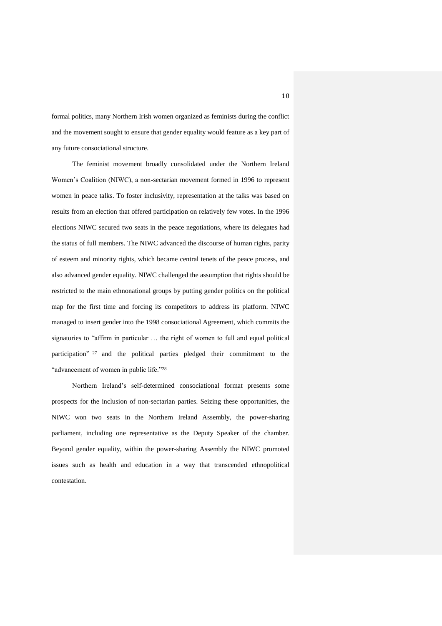formal politics, many Northern Irish women organized as feminists during the conflict and the movement sought to ensure that gender equality would feature as a key part of any future consociational structure.

The feminist movement broadly consolidated under the Northern Ireland Women's Coalition (NIWC), a non-sectarian movement formed in 1996 to represent women in peace talks. To foster inclusivity, representation at the talks was based on results from an election that offered participation on relatively few votes. In the 1996 elections NIWC secured two seats in the peace negotiations, where its delegates had the status of full members. The NIWC advanced the discourse of human rights, parity of esteem and minority rights, which became central tenets of the peace process, and also advanced gender equality. NIWC challenged the assumption that rights should be restricted to the main ethnonational groups by putting gender politics on the political map for the first time and forcing its competitors to address its platform. NIWC managed to insert gender into the 1998 consociational Agreement, which commits the signatories to "affirm in particular … the right of women to full and equal political participation"<sup>27</sup> and the political parties pledged their commitment to the "advancement of women in public life."<sup>28</sup>

Northern Ireland's self-determined consociational format presents some prospects for the inclusion of non-sectarian parties. Seizing these opportunities, the NIWC won two seats in the Northern Ireland Assembly, the power-sharing parliament, including one representative as the Deputy Speaker of the chamber. Beyond gender equality, within the power-sharing Assembly the NIWC promoted issues such as health and education in a way that transcended ethnopolitical contestation.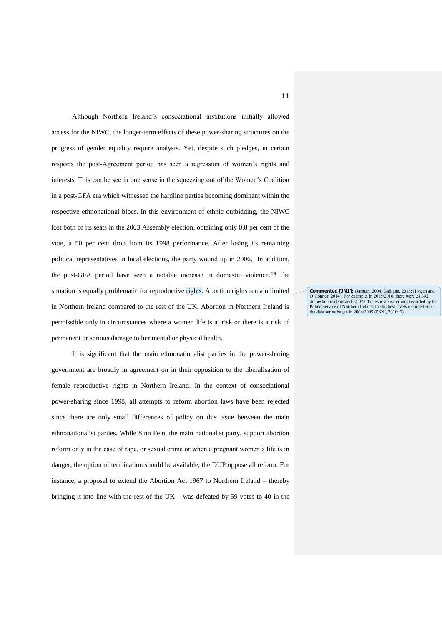Although Northern Ireland's consociational institutions initially allowed access for the NIWC, the longer-term effects of these power-sharing structures on the progress of gender equality require analysis. Yet, despite such pledges, in certain respects the post-Agreement period has seen a regression of women's rights and interests. This can be see in one sense in the squeezing out of the Women's Coalition in a post-GFA era which witnessed the hardline parties becoming dominant within the respective ethnonational blocs. In this environment of ethnic outbidding, the NIWC lost both of its seats in the 2003 Assembly election, obtaining only 0.8 per cent of the vote, a 50 per cent drop from its 1998 performance. After losing its remaining political representatives in local elections, the party wound up in 2006. In addition, the post-GFA period have seen a notable increase in domestic violence. <sup>29</sup> The situation is equally problematic for reproductive rights. Abortion rights remain limited in Northern Ireland compared to the rest of the UK. Abortion in Northern Ireland is permissible only in circumstances where a women life is at risk or there is a risk of permanent or serious damage to her mental or physical health.

It is significant that the main ethnonationalist parties in the power-sharing government are broadly in agreement on in their opposition to the liberalisation of female reproductive rights in Northern Ireland. In the context of consociational power-sharing since 1998, all attempts to reform abortion laws have been rejected since there are only small differences of policy on this issue between the main ethnonationalist parties. While Sinn Fein, the main nationalist party, support abortion reform only in the case of rape, or sexual crime or when a pregnant women's life is in danger, the option of termination should be available, the DUP oppose all reform. For instance, a proposal to extend the Abortion Act 1967 to Northern Ireland – thereby bringing it into line with the rest of the UK – was defeated by 59 votes to 40 in the

**Commented [JN1]:** (Jarman, 2004; Galligan, 2013; Horgan and O'Connor, 2014). For example, in 2015/2016, there were 28,392 domestic incidents and 14,073 domestic abuse crimes recorded by the Police Service of Northern Ireland, the highest levels recorded since the data series began in 2004/2005 (PSNI, 2016: 6).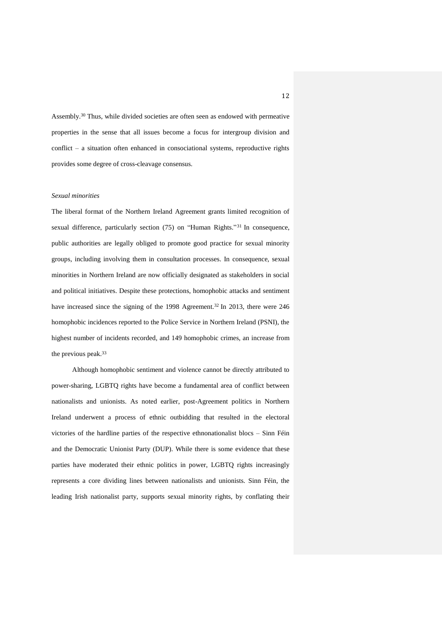Assembly. <sup>30</sup> Thus, while divided societies are often seen as endowed with permeative properties in the sense that all issues become a focus for intergroup division and conflict – a situation often enhanced in consociational systems, reproductive rights provides some degree of cross-cleavage consensus.

#### *Sexual minorities*

The liberal format of the Northern Ireland Agreement grants limited recognition of sexual difference, particularly section (75) on "Human Rights." <sup>31</sup> In consequence, public authorities are legally obliged to promote good practice for sexual minority groups, including involving them in consultation processes. In consequence, sexual minorities in Northern Ireland are now officially designated as stakeholders in social and political initiatives. Despite these protections, homophobic attacks and sentiment have increased since the signing of the 1998 Agreement.<sup>32</sup> In 2013, there were 246 homophobic incidences reported to the Police Service in Northern Ireland (PSNI), the highest number of incidents recorded, and 149 homophobic crimes, an increase from the previous peak.<sup>33</sup>

Although homophobic sentiment and violence cannot be directly attributed to power-sharing, LGBTQ rights have become a fundamental area of conflict between nationalists and unionists. As noted earlier, post-Agreement politics in Northern Ireland underwent a process of ethnic outbidding that resulted in the electoral victories of the hardline parties of the respective ethnonationalist blocs – Sinn Féin and the Democratic Unionist Party (DUP). While there is some evidence that these parties have moderated their ethnic politics in power, LGBTQ rights increasingly represents a core dividing lines between nationalists and unionists. Sinn Féin, the leading Irish nationalist party, supports sexual minority rights, by conflating their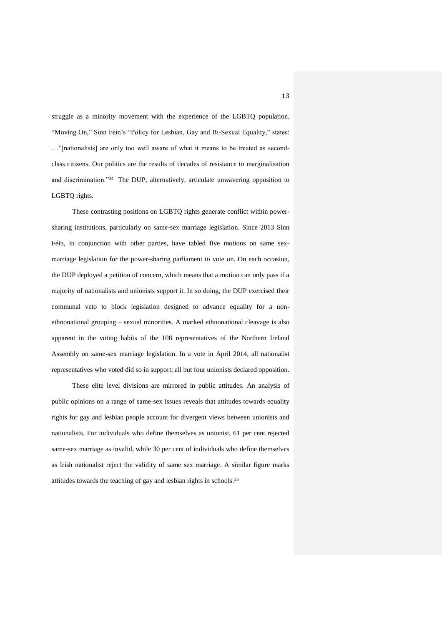struggle as a minority movement with the experience of the LGBTQ population. "Moving On," Sinn Féin's "Policy for Lesbian, Gay and Bi-Sexual Equality," states: …"[nationalists] are only too well aware of what it means to be treated as secondclass citizens. Our politics are the results of decades of resistance to marginalisation and discrimination."<sup>34</sup> The DUP, alternatively, articulate unwavering opposition to LGBTQ rights.

These contrasting positions on LGBTQ rights generate conflict within powersharing institutions, particularly on same-sex marriage legislation. Since 2013 Sinn Féin, in conjunction with other parties, have tabled five motions on same sexmarriage legislation for the power-sharing parliament to vote on. On each occasion, the DUP deployed a petition of concern, which means that a motion can only pass if a majority of nationalists and unionists support it. In so doing, the DUP exercised their communal veto to block legislation designed to advance equality for a nonethnonational grouping – sexual minorities. A marked ethnonational cleavage is also apparent in the voting habits of the 108 representatives of the Northern Ireland Assembly on same-sex marriage legislation. In a vote in April 2014, all nationalist representatives who voted did so in support; all but four unionists declared opposition.

These elite level divisions are mirrored in public attitudes. An analysis of public opinions on a range of same-sex issues reveals that attitudes towards equality rights for gay and lesbian people account for divergent views between unionists and nationalists. For individuals who define themselves as unionist, 61 per cent rejected same-sex marriage as invalid, while 30 per cent of individuals who define themselves as Irish nationalist reject the validity of same sex marriage. A similar figure marks attitudes towards the teaching of gay and lesbian rights in schools. 35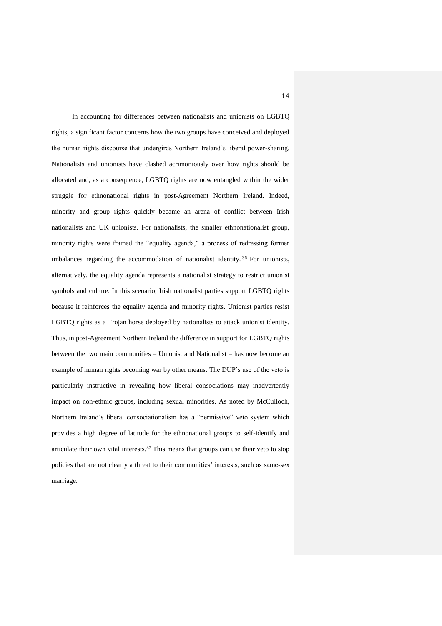In accounting for differences between nationalists and unionists on LGBTQ rights, a significant factor concerns how the two groups have conceived and deployed the human rights discourse that undergirds Northern Ireland's liberal power-sharing. Nationalists and unionists have clashed acrimoniously over how rights should be allocated and, as a consequence, LGBTQ rights are now entangled within the wider struggle for ethnonational rights in post-Agreement Northern Ireland. Indeed, minority and group rights quickly became an arena of conflict between Irish nationalists and UK unionists. For nationalists, the smaller ethnonationalist group, minority rights were framed the "equality agenda," a process of redressing former imbalances regarding the accommodation of nationalist identity. <sup>36</sup> For unionists, alternatively, the equality agenda represents a nationalist strategy to restrict unionist symbols and culture. In this scenario, Irish nationalist parties support LGBTQ rights because it reinforces the equality agenda and minority rights. Unionist parties resist LGBTQ rights as a Trojan horse deployed by nationalists to attack unionist identity. Thus, in post-Agreement Northern Ireland the difference in support for LGBTQ rights between the two main communities – Unionist and Nationalist – has now become an example of human rights becoming war by other means. The DUP's use of the veto is particularly instructive in revealing how liberal consociations may inadvertently impact on non-ethnic groups, including sexual minorities. As noted by McCulloch, Northern Ireland's liberal consociationalism has a "permissive" veto system which provides a high degree of latitude for the ethnonational groups to self-identify and articulate their own vital interests.<sup>37</sup> This means that groups can use their veto to stop policies that are not clearly a threat to their communities' interests, such as same-sex marriage.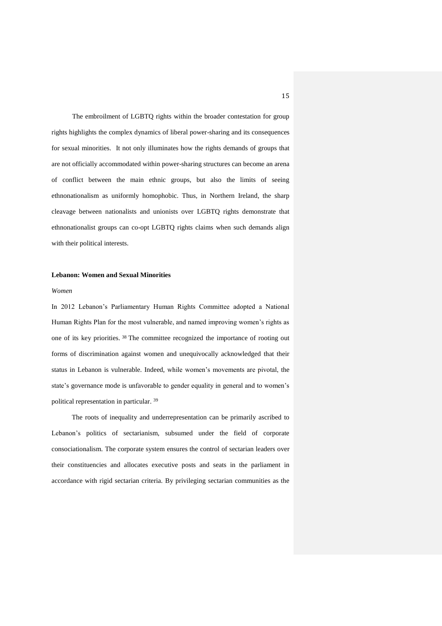The embroilment of LGBTQ rights within the broader contestation for group rights highlights the complex dynamics of liberal power-sharing and its consequences for sexual minorities. It not only illuminates how the rights demands of groups that are not officially accommodated within power-sharing structures can become an arena of conflict between the main ethnic groups, but also the limits of seeing ethnonationalism as uniformly homophobic. Thus, in Northern Ireland, the sharp cleavage between nationalists and unionists over LGBTQ rights demonstrate that ethnonationalist groups can co-opt LGBTQ rights claims when such demands align with their political interests.

# **Lebanon: Women and Sexual Minorities**

#### *Women*

In 2012 Lebanon's Parliamentary Human Rights Committee adopted a National Human Rights Plan for the most vulnerable, and named improving women's rights as one of its key priorities. <sup>38</sup> The committee recognized the importance of rooting out forms of discrimination against women and unequivocally acknowledged that their status in Lebanon is vulnerable. Indeed, while women's movements are pivotal, the state's governance mode is unfavorable to gender equality in general and to women's political representation in particular. 39

The roots of inequality and underrepresentation can be primarily ascribed to Lebanon's politics of sectarianism, subsumed under the field of corporate consociationalism. The corporate system ensures the control of sectarian leaders over their constituencies and allocates executive posts and seats in the parliament in accordance with rigid sectarian criteria. By privileging sectarian communities as the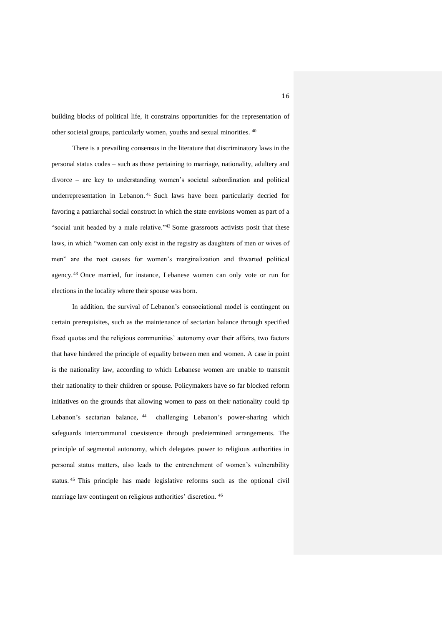building blocks of political life, it constrains opportunities for the representation of other societal groups, particularly women, youths and sexual minorities. 40

There is a prevailing consensus in the literature that discriminatory laws in the personal status codes – such as those pertaining to marriage, nationality, adultery and divorce – are key to understanding women's societal subordination and political underrepresentation in Lebanon. <sup>41</sup> Such laws have been particularly decried for favoring a patriarchal social construct in which the state envisions women as part of a "social unit headed by a male relative."<sup>42</sup> Some grassroots activists posit that these laws, in which "women can only exist in the registry as daughters of men or wives of men" are the root causes for women's marginalization and thwarted political agency. <sup>43</sup> Once married, for instance, Lebanese women can only vote or run for elections in the locality where their spouse was born.

In addition, the survival of Lebanon's consociational model is contingent on certain prerequisites, such as the maintenance of sectarian balance through specified fixed quotas and the religious communities' autonomy over their affairs, two factors that have hindered the principle of equality between men and women. A case in point is the nationality law, according to which Lebanese women are unable to transmit their nationality to their children or spouse. Policymakers have so far blocked reform initiatives on the grounds that allowing women to pass on their nationality could tip Lebanon's sectarian balance, <sup>44</sup> challenging Lebanon's power-sharing which safeguards intercommunal coexistence through predetermined arrangements. The principle of segmental autonomy, which delegates power to religious authorities in personal status matters, also leads to the entrenchment of women's vulnerability status. <sup>45</sup> This principle has made legislative reforms such as the optional civil marriage law contingent on religious authorities' discretion. 46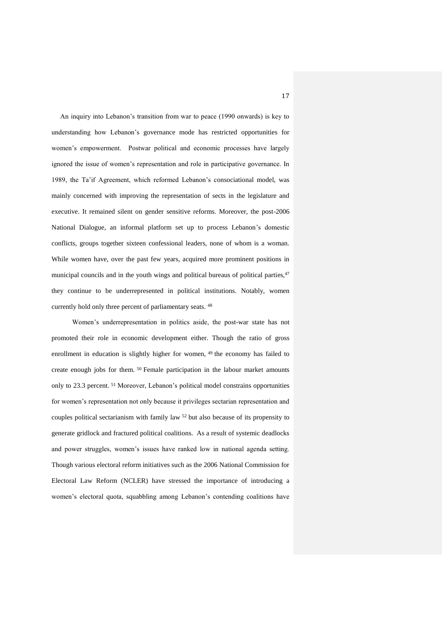An inquiry into Lebanon's transition from war to peace (1990 onwards) is key to understanding how Lebanon's governance mode has restricted opportunities for women's empowerment. Postwar political and economic processes have largely ignored the issue of women's representation and role in participative governance. In 1989, the Ta'if Agreement, which reformed Lebanon's consociational model, was mainly concerned with improving the representation of sects in the legislature and executive. It remained silent on gender sensitive reforms. Moreover, the post-2006 National Dialogue, an informal platform set up to process Lebanon's domestic conflicts, groups together sixteen confessional leaders, none of whom is a woman. While women have, over the past few years, acquired more prominent positions in municipal councils and in the youth wings and political bureaus of political parties,<sup>47</sup> they continue to be underrepresented in political institutions. Notably, women currently hold only three percent of parliamentary seats. 48

Women's underrepresentation in politics aside, the post-war state has not promoted their role in economic development either. Though the ratio of gross enrollment in education is slightly higher for women, <sup>49</sup> the economy has failed to create enough jobs for them. <sup>50</sup> Female participation in the labour market amounts only to 23.3 percent. <sup>51</sup> Moreover, Lebanon's political model constrains opportunities for women's representation not only because it privileges sectarian representation and couples political sectarianism with family law <sup>52</sup> but also because of its propensity to generate gridlock and fractured political coalitions. As a result of systemic deadlocks and power struggles, women's issues have ranked low in national agenda setting. Though various electoral reform initiatives such as the 2006 National Commission for Electoral Law Reform (NCLER) have stressed the importance of introducing a women's electoral quota, squabbling among Lebanon's contending coalitions have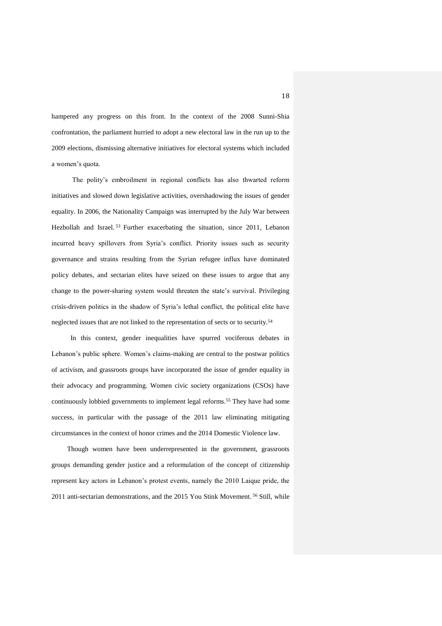hampered any progress on this front. In the context of the 2008 Sunni-Shia confrontation, the parliament hurried to adopt a new electoral law in the run up to the 2009 elections, dismissing alternative initiatives for electoral systems which included a women's quota.

The polity's embroilment in regional conflicts has also thwarted reform initiatives and slowed down legislative activities, overshadowing the issues of gender equality. In 2006, the Nationality Campaign was interrupted by the July War between Hezbollah and Israel. <sup>53</sup> Further exacerbating the situation, since 2011, Lebanon incurred heavy spillovers from Syria's conflict. Priority issues such as security governance and strains resulting from the Syrian refugee influx have dominated policy debates, and sectarian elites have seized on these issues to argue that any change to the power-sharing system would threaten the state's survival. Privileging crisis-driven politics in the shadow of Syria's lethal conflict, the political elite have neglected issues that are not linked to the representation of sects or to security.<sup>54</sup>

 In this context, gender inequalities have spurred vociferous debates in Lebanon's public sphere. Women's claims-making are central to the postwar politics of activism, and grassroots groups have incorporated the issue of gender equality in their advocacy and programming. Women civic society organizations (CSOs) have continuously lobbied governments to implement legal reforms.<sup>55</sup> They have had some success, in particular with the passage of the 2011 law eliminating mitigating circumstances in the context of honor crimes and the 2014 Domestic Violence law.

 Though women have been underrepresented in the government, grassroots groups demanding gender justice and a reformulation of the concept of citizenship represent key actors in Lebanon's protest events, namely the 2010 Laique pride, the 2011 anti-sectarian demonstrations, and the 2015 You Stink Movement. <sup>56</sup> Still, while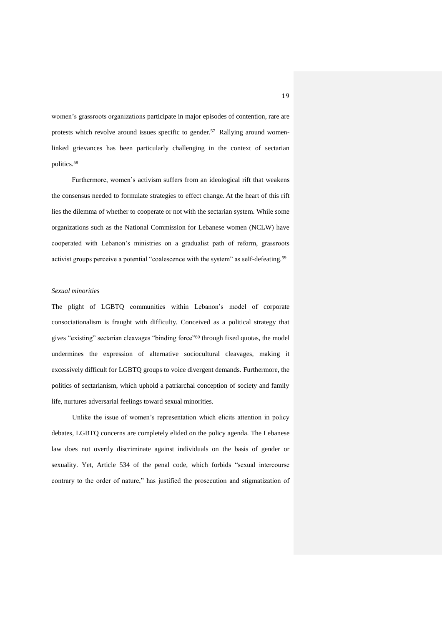women's grassroots organizations participate in major episodes of contention, rare are protests which revolve around issues specific to gender. <sup>57</sup> Rallying around womenlinked grievances has been particularly challenging in the context of sectarian politics. 58

Furthermore, women's activism suffers from an ideological rift that weakens the consensus needed to formulate strategies to effect change. At the heart of this rift lies the dilemma of whether to cooperate or not with the sectarian system. While some organizations such as the National Commission for Lebanese women (NCLW) have cooperated with Lebanon's ministries on a gradualist path of reform, grassroots activist groups perceive a potential "coalescence with the system" as self-defeating.<sup>59</sup>

# *Sexual minorities*

The plight of LGBTQ communities within Lebanon's model of corporate consociationalism is fraught with difficulty. Conceived as a political strategy that gives "existing" sectarian cleavages "binding force"<sup>60</sup> through fixed quotas, the model undermines the expression of alternative sociocultural cleavages, making it excessively difficult for LGBTQ groups to voice divergent demands. Furthermore, the politics of sectarianism, which uphold a patriarchal conception of society and family life, nurtures adversarial feelings toward sexual minorities.

Unlike the issue of women's representation which elicits attention in policy debates, LGBTQ concerns are completely elided on the policy agenda. The Lebanese law does not overtly discriminate against individuals on the basis of gender or sexuality. Yet, Article 534 of the penal code, which forbids "sexual intercourse contrary to the order of nature," has justified the prosecution and stigmatization of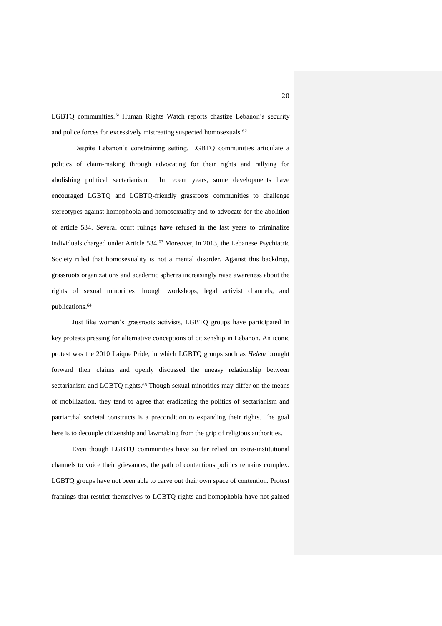LGBTQ communities.<sup>61</sup> Human Rights Watch reports chastize Lebanon's security and police forces for excessively mistreating suspected homosexuals.<sup>62</sup>

Despite Lebanon's constraining setting, LGBTQ communities articulate a politics of claim-making through advocating for their rights and rallying for abolishing political sectarianism. In recent years, some developments have encouraged LGBTQ and LGBTQ-friendly grassroots communities to challenge stereotypes against homophobia and homosexuality and to advocate for the abolition of article 534. Several court rulings have refused in the last years to criminalize individuals charged under Article 534.<sup>63</sup> Moreover, in 2013, the Lebanese Psychiatric Society ruled that homosexuality is not a mental disorder. Against this backdrop, grassroots organizations and academic spheres increasingly raise awareness about the rights of sexual minorities through workshops, legal activist channels, and publications.<sup>64</sup>

Just like women's grassroots activists, LGBTQ groups have participated in key protests pressing for alternative conceptions of citizenship in Lebanon. An iconic protest was the 2010 Laique Pride, in which LGBTQ groups such as *Helem* brought forward their claims and openly discussed the uneasy relationship between sectarianism and LGBTQ rights.<sup>65</sup> Though sexual minorities may differ on the means of mobilization, they tend to agree that eradicating the politics of sectarianism and patriarchal societal constructs is a precondition to expanding their rights. The goal here is to decouple citizenship and lawmaking from the grip of religious authorities.

Even though LGBTQ communities have so far relied on extra-institutional channels to voice their grievances, the path of contentious politics remains complex. LGBTQ groups have not been able to carve out their own space of contention. Protest framings that restrict themselves to LGBTQ rights and homophobia have not gained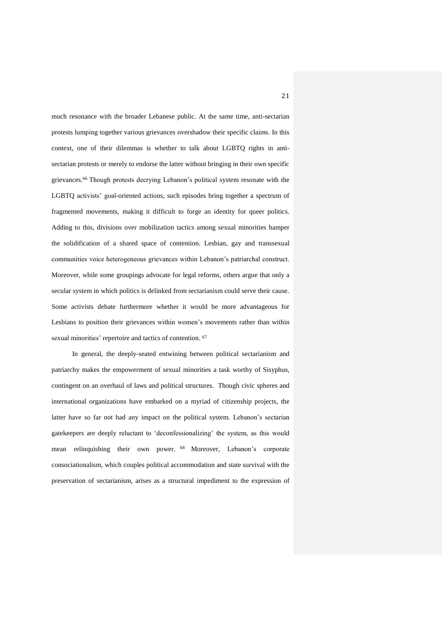much resonance with the broader Lebanese public. At the same time, anti-sectarian protests lumping together various grievances overshadow their specific claims. In this context, one of their dilemmas is whether to talk about LGBTQ rights in antisectarian protests or merely to endorse the latter without bringing in their own specific grievances.<sup>66</sup> Though protests decrying Lebanon's political system resonate with the LGBTQ activists' goal-oriented actions, such episodes bring together a spectrum of fragmented movements, making it difficult to forge an identity for queer politics. Adding to this, divisions over mobilization tactics among sexual minorities hamper the solidification of a shared space of contention. Lesbian, gay and transsexual communities voice heterogeneous grievances within Lebanon's patriarchal construct. Moreover, while some groupings advocate for legal reforms, others argue that only a secular system in which politics is delinked from sectarianism could serve their cause. Some activists debate furthermore whether it would be more advantageous for Lesbians to position their grievances within women's movements rather than within sexual minorities' repertoire and tactics of contention. <sup>67</sup>

In general, the deeply-seated entwining between political sectarianism and patriarchy makes the empowerment of sexual minorities a task worthy of Sisyphus, contingent on an overhaul of laws and political structures. Though civic spheres and international organizations have embarked on a myriad of citizenship projects, the latter have so far not had any impact on the political system. Lebanon's sectarian gatekeepers are deeply reluctant to 'deconfessionalizing' the system, as this would mean relinquishing their own power. <sup>68</sup> Moreover, Lebanon's corporate consociationalism, which couples political accommodation and state survival with the preservation of sectarianism, arises as a structural impediment to the expression of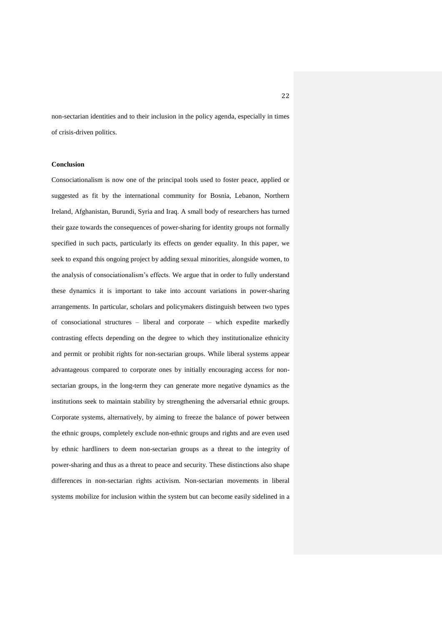non-sectarian identities and to their inclusion in the policy agenda, especially in times of crisis-driven politics.

#### **Conclusion**

Consociationalism is now one of the principal tools used to foster peace, applied or suggested as fit by the international community for Bosnia, Lebanon, Northern Ireland, Afghanistan, Burundi, Syria and Iraq. A small body of researchers has turned their gaze towards the consequences of power-sharing for identity groups not formally specified in such pacts, particularly its effects on gender equality. In this paper, we seek to expand this ongoing project by adding sexual minorities, alongside women, to the analysis of consociationalism's effects. We argue that in order to fully understand these dynamics it is important to take into account variations in power-sharing arrangements. In particular, scholars and policymakers distinguish between two types of consociational structures – liberal and corporate – which expedite markedly contrasting effects depending on the degree to which they institutionalize ethnicity and permit or prohibit rights for non-sectarian groups. While liberal systems appear advantageous compared to corporate ones by initially encouraging access for nonsectarian groups, in the long-term they can generate more negative dynamics as the institutions seek to maintain stability by strengthening the adversarial ethnic groups. Corporate systems, alternatively, by aiming to freeze the balance of power between the ethnic groups, completely exclude non-ethnic groups and rights and are even used by ethnic hardliners to deem non-sectarian groups as a threat to the integrity of power-sharing and thus as a threat to peace and security. These distinctions also shape differences in non-sectarian rights activism. Non-sectarian movements in liberal systems mobilize for inclusion within the system but can become easily sidelined in a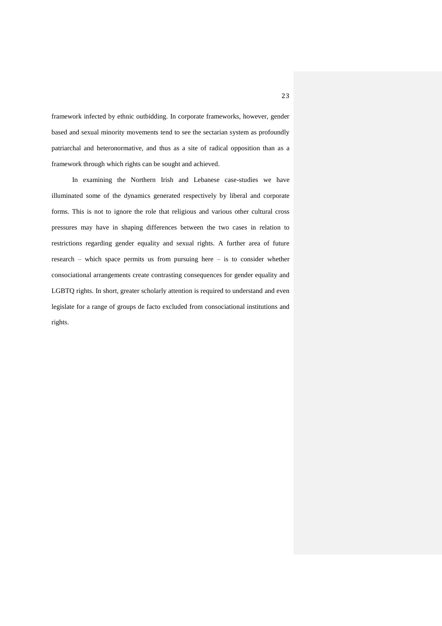framework infected by ethnic outbidding. In corporate frameworks, however, gender based and sexual minority movements tend to see the sectarian system as profoundly patriarchal and heteronormative, and thus as a site of radical opposition than as a framework through which rights can be sought and achieved.

In examining the Northern Irish and Lebanese case-studies we have illuminated some of the dynamics generated respectively by liberal and corporate forms. This is not to ignore the role that religious and various other cultural cross pressures may have in shaping differences between the two cases in relation to restrictions regarding gender equality and sexual rights. A further area of future research – which space permits us from pursuing here – is to consider whether consociational arrangements create contrasting consequences for gender equality and LGBTQ rights. In short, greater scholarly attention is required to understand and even legislate for a range of groups de facto excluded from consociational institutions and rights.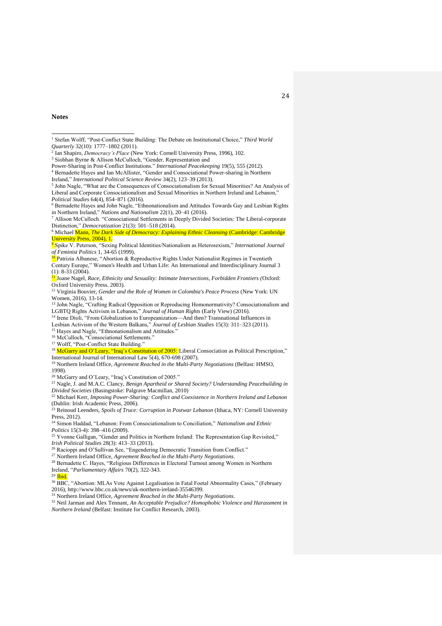- <sup>3</sup> Siobhan Byrne & Allison McCulloch, "Gender, Representation and
- Power-Sharing in Post-Conflict Institutions." *International Peacekeeping* 19(5), 555 (2012).
- <sup>4</sup> Bernadette Hayes and Ian McAllister, "Gender and Consociational Power-sharing in Northern Ireland," *International Political Science Review* 34(2), 123–39 (2013).
- <sup>5</sup> John Nagle, "What are the Consequences of Consociationalism for Sexual Minorities? An Analysis of Liberal and Corporate Consociationalism and Sexual Minorities in Northern Ireland and Lebanon," *Political Studies* 64(4), 854–871 (2016).
- <sup>6</sup> Bernadette Hayes and John Nagle, "Ethnonationalism and Attitudes Towards Gay and Lesbian Rights in Northern Ireland," *Nations and Nationalism* 22(1), 20–41 (2016).

<sup>13</sup> John Nagle, "Crafting Radical Opposition or Reproducing Homonormativity? Consociationalism and LGBTQ Rights Activism in Lebanon," *Journal of Human Rights* (Early View) (2016).

- <sup>14</sup> Irene Dioli, "From Globalization to Europeanization—And then? Transnational Influences in
- Lesbian Activism of the Western Balkans," *Journal of Lesbian Studies* 15(3): 311–323 (2011).

<sup>15</sup> Hayes and Nagle, "Ethnonationalism and Attitudes."

<sup>16</sup> McCulloch, "Consociational Settlements."

<sup>18</sup> McGarry and O'Leary, "Iraq's Constitution of 2005: Liberal Consociation as Political Prescription," International Journal of International Law 5(4), 670-698 (2007).

<sup>19</sup> Northern Ireland Office, *Agreement Reached in the Multi-Party Negotiations* (Belfast: HMSO, 1998).

<sup>20</sup> McGarry and O'Leary, "Iraq's Constitution of 2005."

<sup>21</sup> Nagle, J. and M.A.C. Clancy, *Benign Apartheid or Shared Society? Understanding Peacebuilding in Divided Societies* (Basingstoke: Palgrave Macmillan, 2010)

<sup>22</sup> Michael Kerr, *Imposing Power-Sharing: Conflict and Coexistence in Northern Ireland and Lebanon* (Dublin: Irish Academic Press, 2006).

<sup>23</sup> Reinoud Leenders, *Spoils of Truce: Corruption in Postwar Lebanon* (Ithaca, NY: Cornell University Press, 2012).

<sup>24</sup> Simon Haddad, "Lebanon: From Consociationalism to Conciliation," *Nationalism and Ethnic Politics* 15(3-4): 398–416 (2009).

<sup>25</sup> Yvonne Galligan, "Gender and Politics in Northern Ireland: The Representation Gap Revisited," *Irish Political Studies* 28(3): 413–33 (2013).

<sup>26</sup> Racioppi and O'Sullivan See, "Engendering Democratic Transition from Conflict."

<sup>27</sup> Northern Ireland Office, *Agreement Reached in the Multi-Party Negotiations*.

<sup>28</sup> Bernadette C. Hayes, "Religious Differences in Electoral Turnout among Women in Northern Ireland, "*Parliamentary Affairs* 70(2), 322-343.

<sup>29</sup> Ibid.

<sup>30</sup> BBC, "Abortion: MLAs Vote Against Legalisation in Fatal Foetal Abnormality Cases," (February 2016), http://www.bbc.co.uk/news/uk-northern-ireland-35546399.

<sup>31</sup> Northern Ireland Office, *Agreement Reached in the Multi-Party Negotiations*.

<sup>32</sup> Neil Jarman and Alex Tennant, *An Acceptable Prejudice? Homophobic Violence and Harassment in Northern Ireland* (Belfast: Institute for Conflict Research, 2003).

**Notes**

 $\overline{a}$ <sup>1</sup> Stefan Wolff, "Post-Conflict State Building: The Debate on Institutional Choice," *Third World Quarterly* 32(10): 1777–1802 (2011). 2

Ian Shapiro, *Democracy's Place* (New York: Cornell University Press, 1996), 102.

<sup>7</sup> Allison McCulloch. "Consociational Settlements in Deeply Divided Societies: The Liberal-corporate Distinction," *Democratization* 21(3): 501–518 (2014).

<sup>&</sup>lt;sup>8</sup> Michael Mann, *The Dark Side of Democracy: Explaining Ethnic Cleansing* (Cambridge: Cambridge University Press, 2004), 1.

<sup>9</sup> Spike V. Peterson, "Sexing Political Identities/Nationalism as Heterosexism," *International Journal of Feminist Politics* 1, 34-65 (1999).

<sup>&</sup>lt;sup>10</sup> Patrizia Albanese, "Abortion & Reproductive Rights Under Nationalist Regimes in Twentieth Century Europe," Women's Health and Urban Life: An International and Interdisciplinary Journal 3  $(1): 8-33 (2004).$ 

<sup>11</sup> Joane Nagel, *Race, Ethnicity and Sexuality: Intimate Intersections, Forbidden Frontiers (*Oxford: Oxford University Press. 2003).

<sup>12</sup> Virginia Bouvier, *Gender and the Role of Women in Colombia's Peace Process* (New York: UN Women, 2016), 13-14.

<sup>17</sup> Wolff, "Post-Conflict State Building."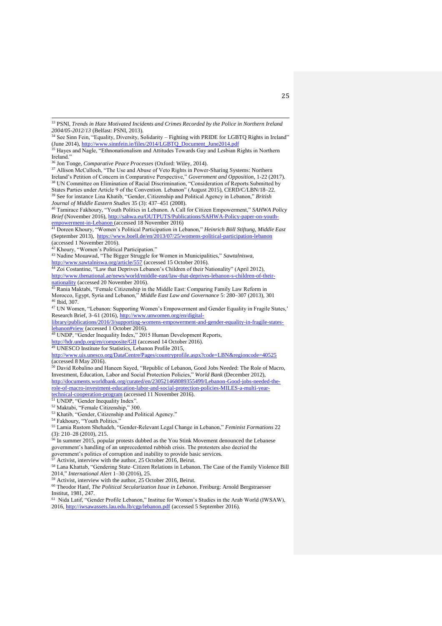<sup>36</sup> Jon Tonge, *Comparative Peace Processes* (Oxford: Wiley, 2014).

<sup>37</sup> Allison McCulloch, "The Use and Abuse of Veto Rights in Power-Sharing Systems: Northern Ireland's Petition of Concern in Comparative Perspective," *Government and Opposition*, 1-22 (2017). <sup>38</sup> UN Committee on Elimination of Racial Discrimination, "Consideration of Reports Submitted by States Parties under Article 9 of the Convention. Lebanon" (August 2015), CERD/C/LBN/18–22. <sup>39</sup> See for instance Lina Khatib, "Gender, Citizenship and Political Agency in Lebanon," *British Journal of Middle Eastern Studies* 35 (3): 437–451 (2008).

<sup>40</sup> Tamirace Fakhoury, "Youth Politics in Lebanon. A Call for Citizen Empowerment," *SAHWA Policy Brief* (November 2016), [http://sahwa.eu/OUTPUTS/Publications/SAHWA-Policy-paper-on-youth](http://sahwa.eu/OUTPUTS/Publications/SAHWA-Policy-paper-on-youth-empowerment-in-Lebanon)[empowerment-in-Lebanon](http://sahwa.eu/OUTPUTS/Publications/SAHWA-Policy-paper-on-youth-empowerment-in-Lebanon) (accessed 18 November 2016)

<sup>41</sup> Doreen Khoury, "Women's Political Participation in Lebanon," *Heinrich Böll Stiftung, Middle East* (September 2013), <https://www.boell.de/en/2013/07/25/womens-political-participation-lebanon> (accessed 1 November 2016).

<sup>42</sup> Khoury, "Women's Political Participation."

<sup>43</sup> Nadine Mouawad, "The Bigger Struggle for Women in Municipalities," *Sawtalniswa*, <http://www.sawtalniswa.org/article/557> (accessed 15 October 2016).

<sup>44</sup> Zoi Costantine, "Law that Deprives Lebanon's Children of their Nationality" (April 2012), [http://www.thenational.ae/news/world/middle-east/law-that-deprives-lebanon-s-children-of-their-](http://www.thenational.ae/news/world/middle-east/law-that-deprives-lebanon-s-children-of-their-nationality)

[nationality](http://www.thenational.ae/news/world/middle-east/law-that-deprives-lebanon-s-children-of-their-nationality) (accessed 20 November 2016).

<sup>45</sup> Rania Maktabi, "Female Citizenship in the Middle East: Comparing Family Law Reform in Morocco, Egypt, Syria and Lebanon," *Middle East Law and Governance* 5: 280–307 (2013), 301 <sup>46</sup> Ibid, 307.

<sup>47</sup> UN Women, "Lebanon: Supporting Women's Empowerment and Gender Equality in Fragile States,' Research Brief, 3–61 (2016)[, http://www.unwomen.org/en/digital-](http://www.unwomen.org/en/digital-library/publications/2016/3/supporting-womens-empowerment-and-gender-equality-in-fragile-states-lebanon#view)

[library/publications/2016/3/supporting-womens-empowerment-and-gender-equality-in-fragile-states](http://www.unwomen.org/en/digital-library/publications/2016/3/supporting-womens-empowerment-and-gender-equality-in-fragile-states-lebanon#view)[lebanon#view](http://www.unwomen.org/en/digital-library/publications/2016/3/supporting-womens-empowerment-and-gender-equality-in-fragile-states-lebanon#view) (accessed 1 October 2016).

<sup>48</sup> UNDP, "Gender Inequality Index," 2015 Human Development Reports,

<http://hdr.undp.org/en/composite/GII> (accessed 14 October 2016).

<sup>49</sup> UNESCO Institute for Statistics, Lebanon Profile 2015,

[http://www.uis.unesco.org/DataCentre/Pages/countryprofile.aspx?code=LBN&regioncode=40525](http://www.uis.unesco.org/DataCentre/Pages/countryprofile.aspx?code=LBN®ioncode=40525) (accessed 8 May 2016).

<sup>50</sup> David Robalino and Haneen Sayed, "Republic of Lebanon, Good Jobs Needed: The Role of Macro, Investment, Education, Labor and Social Protection Policies," *World Bank* (December 2012), [http://documents.worldbank.org/curated/en/230521468089355499/Lebanon-Good-jobs-needed-the](http://documents.worldbank.org/curated/en/230521468089355499/Lebanon-Good-jobs-needed-the-role-of-macro-investment-education-labor-and-social-protection-policies-MILES-a-multi-year-technical-cooperation-program)[role-of-macro-investment-education-labor-and-social-protection-policies-MILES-a-multi-year](http://documents.worldbank.org/curated/en/230521468089355499/Lebanon-Good-jobs-needed-the-role-of-macro-investment-education-labor-and-social-protection-policies-MILES-a-multi-year-technical-cooperation-program)[technical-cooperation-program](http://documents.worldbank.org/curated/en/230521468089355499/Lebanon-Good-jobs-needed-the-role-of-macro-investment-education-labor-and-social-protection-policies-MILES-a-multi-year-technical-cooperation-program) (accessed 11 November 2016).

<sup>51</sup> UNDP, "Gender Inequality Index".

<sup>52</sup> Maktabi, "Female Citizenship," 300.

<sup>53</sup> Khatib, "Gender, Citizenship and Political Agency."

<sup>54</sup> Fakhoury, "Youth Politics."

<sup>55</sup> Lamia Rustom Shehadeh, "Gender-Relevant Legal Change in Lebanon," *Feminist Formations* 22 (3): 210–28 (2010), 215.

<sup>56</sup> In summer 2015, popular protests dubbed as the You Stink Movement denounced the Lebanese government's handling of an unprecedented rubbish crisis. The protesters also decried the government's politics of corruption and inability to provide basic services.

Activist, interview with the author, 25 October 2016, Beirut.

<sup>58</sup> Lana Khattab, "Gendering State–Citizen Relations in Lebanon. The Case of the Family Violence Bill 2014," *International Alert* 1–30 (2016), 25.

Activist, interview with the author, 25 October 2016, Beirut.

<sup>60</sup> Theodor Hanf, *The Political Secularization Issue in Lebanon*. Freiburg: Arnold Bergstraesser Institut, 1981, 247.

<sup>61</sup> Nida Latif, "Gender Profile Lebanon," Institue for Women's Studies in the Arab World (IWSAW), 2016,<http://iwsawassets.lau.edu.lb/cgp/lebanon.pdf> (accessed 5 September 2016).

 $\overline{a}$ <sup>33</sup> PSNI, *Trends in Hate Motivated Incidents and Crimes Recorded by the Police in Northern Ireland 2004/05-2012/13* (Belfast: PSNI, 2013).

<sup>&</sup>lt;sup>34</sup> See Sinn Fein, "Equality, Diversity, Solidarity – Fighting with PRIDE for LGBTQ Rights in Ireland" (June 2014), [http://www.sinnfein.ie/files/2014/LGBTQ\\_Document\\_June2014.pdf](http://www.sinnfein.ie/files/2014/LGBT_Document_June2014.pdf)

<sup>&</sup>lt;sup>35</sup> Hayes and Nagle, "Ethnonationalism and Attitudes Towards Gay and Lesbian Rights in Northern Ireland."